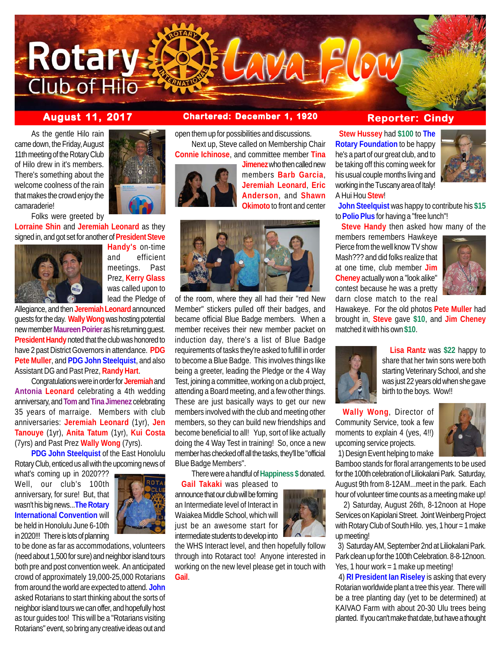

**August 11, 2017 Chartered: December 1, 1920 Reporter: Cindy**

As the gentle Hilo rain came down, the Friday, August 11th meeting of the Rotary Club of Hilo drew in it's members. There's something about the welcome coolness of the rain that makes the crowd enjoy the camaraderie!



Folks were greeted by

**Lorraine Shin** and **Jeremiah Leonard** as they signed in, and got set for another of **President Steve**



**Handy's** on-time and efficient meetings. Past Prez, **Kerry Glass** was called upon to lead the Pledge of

Allegiance, and then **Jeremiah Leonard** announced guests for the day. **Wally Wong** was hosting potential new member **Maureen Poirier** as his returning guest. **President Handy** noted that the club was honored to have 2 past District Governors in attendance. **PDG Pete Muller**, and **PDG John Steelquist**, and also Assistant DG and Past Prez, **Randy Hart**.

Congratulations were in order for **Jeremiah** and **Antonia Leonard** celebrating a 4th wedding anniversary, and **Tom** and **Tina Jimenez** celebrating 35 years of marraige. Members with club anniversaries: **Jeremiah Leonard** (1yr), **Jen Tanouye** (1yr), **Anita Tatum** (1yr), **Kui Costa** (7yrs) and Past Prez **Wally Wong** (7yrs).

**PDG John Steelquist** of the East Honolulu Rotary Club, enticed us all with the upcoming news of

what's coming up in 2020??? Well, our club's 100th anniversary, for sure! But, that wasn't his big news...**The Rotary International Convention** will be held in Honolulu June 6-10th in 2020!!! There is lots of planning



to be done as far as accommodations, volunteers (need about 1,500 for sure) and neighbor island tours both pre and post convention week. An anticipated crowd of approximately 19,000-25,000 Rotarians from around the world are expected to attend. **John** asked Rotarians to start thinking about the sorts of neighbor island tours we can offer, and hopefully host as tour guides too! This will be a "Rotarians visiting Rotarians" event, so bring any creative ideas out and

open them up for possibilities and discussions. Next up, Steve called on Membership Chair **Connie Ichinose**, and committee member **Tina**



**Jimenez** who then called new members **Barb Garcia**, **Jeremiah Leonard**, **Eric Anderson**, and **Shawn Okimoto** to front and center



of the room, where they all had their "red New Member" stickers pulled off their badges, and became official Blue Badge members. When a member receives their new member packet on induction day, there's a list of Blue Badge requirements of tasks they're asked to fulfill in order to become a Blue Badge. This involves things like being a greeter, leading the Pledge or the 4 Way Test, joining a committee, working on a club project, attending a Board meeting, and a few other things. These are just basically ways to get our new members involved with the club and meeting other members, so they can build new friendships and become beneficial to all! Yup, sort of like actually doing the 4 Way Test in training! So, once a new member has checked off all the tasks, they'll be "official Blue Badge Members".

There were a handful of **Happiness \$** donated.

 **Gail Takaki** was pleased to announce that our club will be forming an Intermediate level of Interact in Waiakea Middle School, which will just be an awesome start for intermediate students to develop into

the WHS Interact level, and then hopefully follow through into Rotaract too! Anyone interested in working on the new level please get in touch with **Gail**.



 **Lisa Rantz** was **\$22** happy to share that her twin sons were both starting Veterinary School, and she was just 22 years old when she gave birth to the boys. Wow!!

 **Wally Wong**, Director of Community Service, took a few moments to explain 4 (yes, 4!!) upcoming service projects. 1) Design Event helping to make



Bamboo stands for floral arrangements to be used for the 100th celebration of Liliokalani Park. Saturday, August 9th from 8-12AM...meet in the park. Each hour of volunteer time counts as a meeting make up!

 2) Saturday, August 26th, 8-12noon at Hope Services on Kapiolani Street. Joint Weinberg Project with Rotary Club of South Hilo. yes, 1 hour = 1 make up meeting!

 3) Saturday AM, September 2nd at Liliokalani Park. Park clean up for the 100th Celebration. 8-8-12noon. Yes, 1 hour work = 1 make up meeting!

 4) **RI President Ian Riseley** is asking that every Rotarian worldwide plant a tree this year. There will be a tree planting day (yet to be determined) at KAIVAO Farm with about 20-30 Ulu trees being planted. If you can't make that date, but have a thought

**John Steelquist** was happy to contribute his **\$15**

**Steve Handy** then asked how many of the

 **Stew Hussey** had **\$100** to **The Rotary Foundation** to be happy he's a part of our great club, and to be taking off this coming week for his usual couple months living and working in the Tuscany area of Italy! A Hui Hou **Stew**!

to **Polio Plus** for having a "free lunch"!

members remembers Hawkeye Pierce from the well know TV show Mash??? and did folks realize that



at one time, club member **Jim Cheney** actually won a "look alike" contest because he was a pretty darn close match to the real Hawakeye. For the old photos **Pete Muller** had brought in, **Steve** gave **\$10**, and **Jim Cheney** matched it with his own **\$10**.